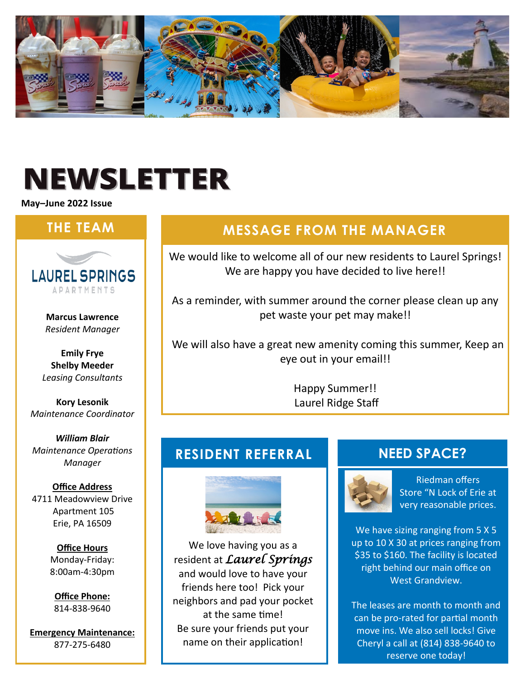

# **NEWSLETTER**

**May–June 2022 Issue**



**Marcus Lawrence** *Resident Manager*

**Emily Frye Shelby Meeder** *Leasing Consultants*

**Kory Lesonik** *Maintenance Coordinator*

*William Blair Maintenance Operations Manager*

#### **Office Address**

4711 Meadowview Drive Apartment 105 Erie, PA 16509

> **Office Hours** Monday-Friday: 8:00am-4:30pm

**Office Phone:** 814-838-9640

**Emergency Maintenance:** 877-275-6480

## **THE TEAM MESSAGE FROM THE MANAGER**

We would like to welcome all of our new residents to Laurel Springs! We are happy you have decided to live here!!

As a reminder, with summer around the corner please clean up any pet waste your pet may make!!

 We will also have a great new amenity coming this summer, Keep an eye out in your email!!

> Happy Summer!! Laurel Ridge Staff

#### **RESIDENT REFERRAL**



We love having you as a resident at *Laurel Springs*  and would love to have your friends here too! Pick your neighbors and pad your pocket at the same time! Be sure your friends put your name on their application!

#### **NEED SPACE?**



Riedman offers Store "N Lock of Erie at very reasonable prices.

We have sizing ranging from 5 X 5 up to 10 X 30 at prices ranging from \$35 to \$160. The facility is located right behind our main office on West Grandview.

The leases are month to month and can be pro-rated for partial month move ins. We also sell locks! Give Cheryl a call at (814) 838-9640 to reserve one today!